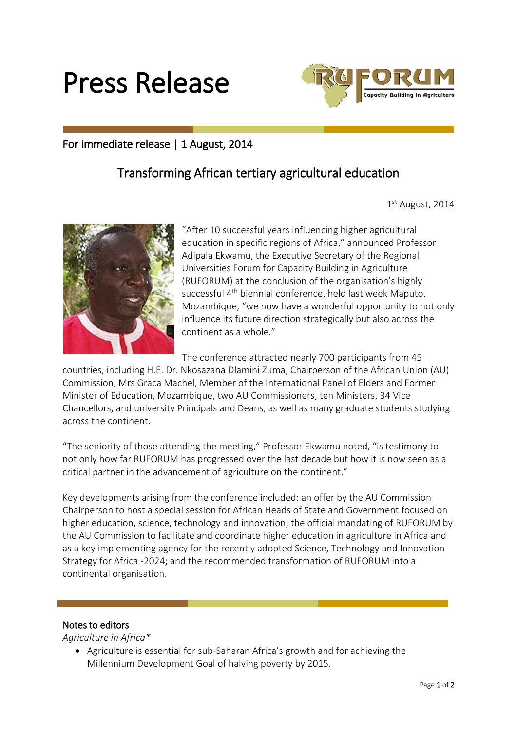



## For immediate release | 1 August, 2014

## Transforming African tertiary agricultural education

1 st August, 2014



"After 10 successful years influencing higher agricultural education in specific regions of Africa," announced Professor Adipala Ekwamu, the Executive Secretary of the Regional Universities Forum for Capacity Building in Agriculture (RUFORUM) at the conclusion of the organisation's highly successful 4<sup>th</sup> biennial conference, held last week Maputo, Mozambique, "we now have a wonderful opportunity to not only influence its future direction strategically but also across the continent as a whole."

The conference attracted nearly 700 participants from 45

countries, including H.E. Dr. Nkosazana Dlamini Zuma, Chairperson of the African Union (AU) Commission, Mrs Graca Machel, Member of the International Panel of Elders and Former Minister of Education, Mozambique, two AU Commissioners, ten Ministers, 34 Vice Chancellors, and university Principals and Deans, as well as many graduate students studying across the continent.

"The seniority of those attending the meeting," Professor Ekwamu noted, "is testimony to not only how far RUFORUM has progressed over the last decade but how it is now seen as a critical partner in the advancement of agriculture on the continent."

Key developments arising from the conference included: an offer by the AU Commission Chairperson to host a special session for African Heads of State and Government focused on higher education, science, technology and innovation; the official mandating of RUFORUM by the AU Commission to facilitate and coordinate higher education in agriculture in Africa and as a key implementing agency for the recently adopted Science, Technology and Innovation Strategy for Africa -2024; and the recommended transformation of RUFORUM into a continental organisation.

## Notes to editors

*Agriculture in Africa\**

 Agriculture is essential for sub-Saharan Africa's growth and for achieving the Millennium Development Goal of halving poverty by 2015.